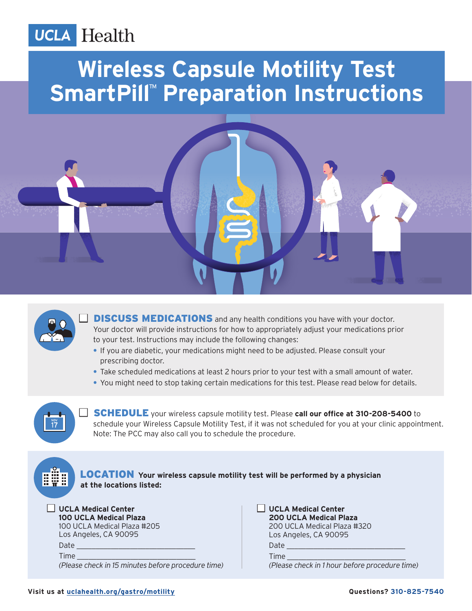## **UCLA** Health

# **Wireless Capsule Motility Test SmartPill™ Preparation Instructions**





**DISCUSS MEDICATIONS** and any health conditions you have with your doctor. Your doctor will provide instructions for how to appropriately adjust your medications prior to your test. Instructions may include the following changes:

- **•** If you are diabetic, your medications might need to be adjusted. Please consult your prescribing doctor.
- **•** Take scheduled medications at least 2 hours prior to your test with a small amount of water.
- **•** You might need to stop taking certain medications for this test. Please read below for details.



**SCHEDULE** your wireless capsule motility test. Please call our office at 310-208-5400 to schedule your Wireless Capsule Motility Test, if it was not scheduled for you at your clinic appointment. Note: The PCC may also call you to schedule the procedure.

#### LOCATION **Your wireless capsule motility test will be performed by a physician at the locations listed:**

| UCLA Medical Center |                        |  |
|---------------------|------------------------|--|
|                     | 100 UCLA Medical Plaza |  |

100 UCLA Medical Plaza #205 Los Angeles, CA 90095 Date Time *(Please check in 15 minutes before procedure time)*   $\Box$  UCLA Medical Center  **200 UCLA Medical Plaza** 200 UCLA Medical Plaza #320 Los Angeles, CA 90095 Date Time

*(Please check in 1 hour before procedure time)*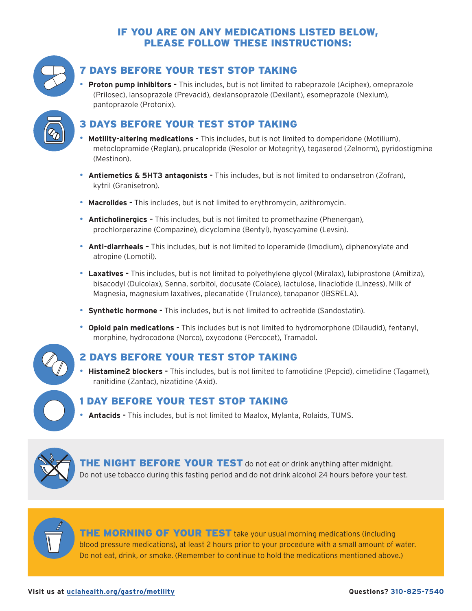#### IF YOU ARE ON ANY MEDICATIONS LISTED BELOW, PLEASE FOLLOW THESE INSTRUCTIONS:



#### 7 DAYS BEFORE YOUR TEST STOP TAKING

• **Proton pump inhibitors -** This includes, but is not limited to rabeprazole (Aciphex), omeprazole (Prilosec), lansoprazole (Prevacid), dexlansoprazole (Dexilant), esomeprazole (Nexium), pantoprazole (Protonix).



#### 3 DAYS BEFORE YOUR TEST STOP TAKING

- **Motility-altering medications -** This includes, but is not limited to domperidone (Motilium), metoclopramide (Reglan), prucalopride (Resolor or Motegrity), tegaserod (Zelnorm), pyridostigmine (Mestinon).
- **Antiemetics & 5HT3 antagonists -** This includes, but is not limited to ondansetron (Zofran), kytril (Granisetron).
- **Macrolides -** This includes, but is not limited to erythromycin, azithromycin.
- **Anticholinergics –** This includes, but is not limited to promethazine (Phenergan), prochlorperazine (Compazine), dicyclomine (Bentyl), hyoscyamine (Levsin).
- **Anti-diarrheals –** This includes, but is not limited to loperamide (Imodium), diphenoxylate and atropine (Lomotil).
- **Laxatives -** This includes, but is not limited to polyethylene glycol (Miralax), lubiprostone (Amitiza), bisacodyl (Dulcolax), Senna, sorbitol, docusate (Colace), lactulose, linaclotide (Linzess), Milk of Magnesia, magnesium laxatives, plecanatide (Trulance), tenapanor (IBSRELA).
- **Synthetic hormone -** This includes, but is not limited to octreotide (Sandostatin).
- **Opioid pain medications -** This includes but is not limited to hydromorphone (Dilaudid), fentanyl, morphine, hydrocodone (Norco), oxycodone (Percocet), Tramadol.



#### 2 DAYS BEFORE YOUR TEST STOP TAKING

• **Histamine2 blockers -** This includes, but is not limited to famotidine (Pepcid), cimetidine (Tagamet), ranitidine (Zantac), nizatidine (Axid).

#### 1 DAY BEFORE YOUR TEST STOP TAKING

• **Antacids -** This includes, but is not limited to Maalox, Mylanta, Rolaids, TUMS.



THE NIGHT BEFORE YOUR TEST do not eat or drink anything after midnight. Do not use tobacco during this fasting period and do not drink alcohol 24 hours before your test.



THE MORNING OF YOUR TEST take your usual morning medications (including blood pressure medications), at least 2 hours prior to your procedure with a small amount of water. Do not eat, drink, or smoke. (Remember to continue to hold the medications mentioned above.)